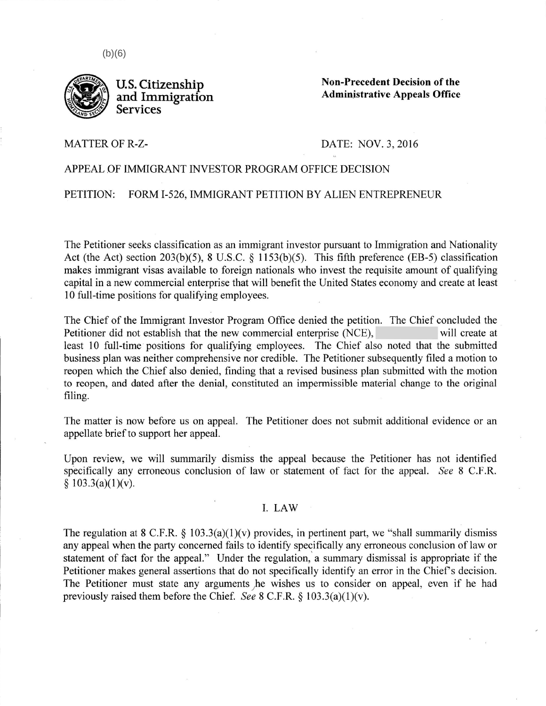

**Non-Precedent Decision of the Admin.istrative Appeals Office** 

MATTER OF R-Z-

## DATE: NOV. 3, 2016

## APPEAL OF IMMIGRANT INVESTOR PROGRAM OFFICE DECISION

PETITION: FORM I-526, IMMIGRANT PETITION BY ALIEN ENTREPRENEUR

The Petitioner seeks classification as an immigrant investor pursuant to Immigration and Nationality Act (the Act) section 203(b)(5), 8 U.S.C. § 1153(b)(5). This fifth preference (EB-5) classification makes immigrant visas available to foreign nationals who invest the requisite amount of qualifying capital in a new commercial enterprise that will benefit the United States economy and create at least 10 full-time positions for qualifying employees.

The Chief of the Immigrant Investor Program Office denied the petition. The Chief concluded the Petitioner did not establish that the new commercial enterprise (NCE), will create at least 10 full-time positions for qualifying employees. The Chief also noted that the submitted business plan was neither comprehensive nor credible. The Petitioner subsequently filed a motion to reopen which the Chief also denied, finding that a revised business plan submitted with the motion to reopen, and dated after the denial, constituted an impermissible material change to the original filing.

The matter is now before us on appeal. The Petitioner does not submit additional evidence or an appellate brief to support her appeal.

Upon review, we will summarily dismiss the appeal because the Petitioner has not identified specifically any erroneous conclusion of law or statement of fact for the appeal. *See* 8 C.F.R.  $§ 103.3(a)(1)(v).$ 

## I. LAW

The regulation at 8 C.F.R.  $\S$  103.3(a)(1)(v) provides, in pertinent part, we "shall summarily dismiss any appeal when the party concerned fails to identify specifically any erroneous conclusion of law or statement of fact for the appeal." Under the regulation, a summary dismissal is appropriate if the Petitioner makes general assertions that do not specifically identify an error in the Chief's decision. The Petitioner must state any arguments he wishes us to consider on appeal, even if he had previously raised them before the Chief. *See* 8 C.F.R. § 103.3(a)(l)(v).